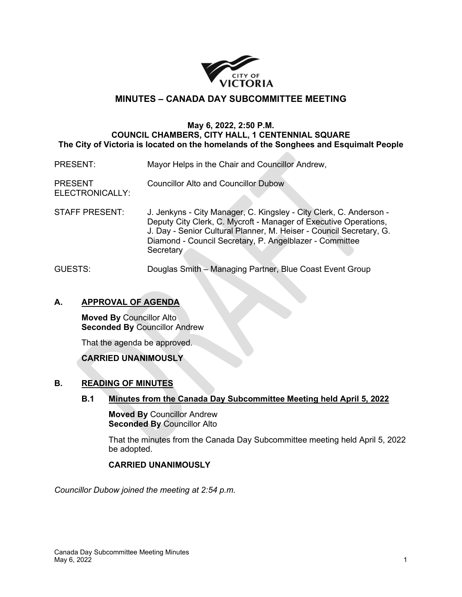

## **MINUTES – CANADA DAY SUBCOMMITTEE MEETING**

#### **May 6, 2022, 2:50 P.M. COUNCIL CHAMBERS, CITY HALL, 1 CENTENNIAL SQUARE The City of Victoria is located on the homelands of the Songhees and Esquimalt People**

- PRESENT: Mayor Helps in the Chair and Councillor Andrew,
- PRESENT Councillor Alto and Councillor Dubow
- ELECTRONICALLY:
- STAFF PRESENT: J. Jenkyns City Manager, C. Kingsley City Clerk, C. Anderson Deputy City Clerk, C. Mycroft - Manager of Executive Operations, J. Day - Senior Cultural Planner, M. Heiser - Council Secretary, G. Diamond - Council Secretary, P. Angelblazer - Committee **Secretary**
- GUESTS: Douglas Smith Managing Partner, Blue Coast Event Group

### **A. APPROVAL OF AGENDA**

**Moved By** Councillor Alto **Seconded By** Councillor Andrew

That the agenda be approved.

### **CARRIED UNANIMOUSLY**

### **B. READING OF MINUTES**

**B.1 Minutes from the Canada Day Subcommittee Meeting held April 5, 2022**

**Moved By** Councillor Andrew **Seconded By** Councillor Alto

That the minutes from the Canada Day Subcommittee meeting held April 5, 2022 be adopted.

#### **CARRIED UNANIMOUSLY**

*Councillor Dubow joined the meeting at 2:54 p.m.*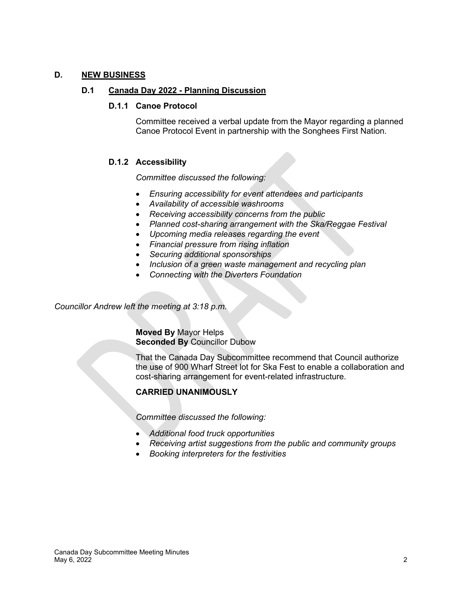### **D. NEW BUSINESS**

#### **D.1 Canada Day 2022 - Planning Discussion**

#### **D.1.1 Canoe Protocol**

Committee received a verbal update from the Mayor regarding a planned Canoe Protocol Event in partnership with the Songhees First Nation.

### **D.1.2 Accessibility**

*Committee discussed the following:*

- *Ensuring accessibility for event attendees and participants*
- *Availability of accessible washrooms*
- *Receiving accessibility concerns from the public*
- *Planned cost-sharing arrangement with the Ska/Reggae Festival*
- *Upcoming media releases regarding the event*
- *Financial pressure from rising inflation*
- *Securing additional sponsorships*
- *Inclusion of a green waste management and recycling plan*
- *Connecting with the Diverters Foundation*

*Councillor Andrew left the meeting at 3:18 p.m.*

**Moved By** Mayor Helps **Seconded By** Councillor Dubow

That the Canada Day Subcommittee recommend that Council authorize the use of 900 Wharf Street lot for Ska Fest to enable a collaboration and cost-sharing arrangement for event-related infrastructure.

### **CARRIED UNANIMOUSLY**

*Committee discussed the following:* 

- *Additional food truck opportunities*
- *Receiving artist suggestions from the public and community groups*
- *Booking interpreters for the festivities*